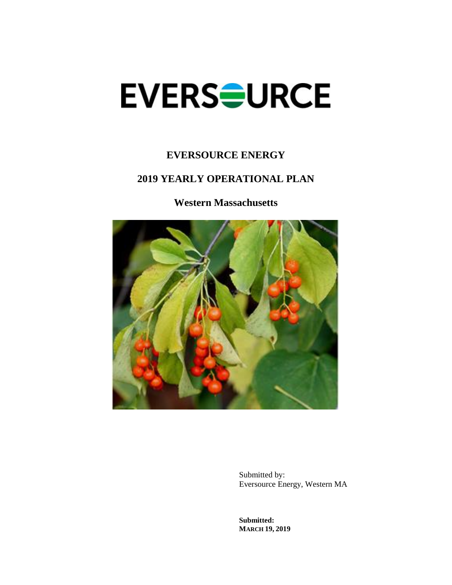# **EVERSOURCE**

# **EVERSOURCE ENERGY**

# **2019 YEARLY OPERATIONAL PLAN**

**Western Massachusetts**



Submitted by: Eversource Energy, Western MA

**Submitted: MARCH 19, 2019**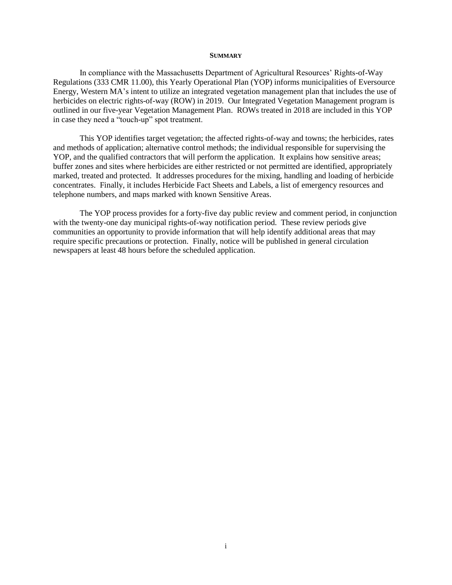#### **SUMMARY**

In compliance with the Massachusetts Department of Agricultural Resources' Rights-of-Way Regulations (333 CMR 11.00), this Yearly Operational Plan (YOP) informs municipalities of Eversource Energy, Western MA's intent to utilize an integrated vegetation management plan that includes the use of herbicides on electric rights-of-way (ROW) in 2019. Our Integrated Vegetation Management program is outlined in our five-year Vegetation Management Plan. ROWs treated in 2018 are included in this YOP in case they need a "touch-up" spot treatment.

This YOP identifies target vegetation; the affected rights-of-way and towns; the herbicides, rates and methods of application; alternative control methods; the individual responsible for supervising the YOP, and the qualified contractors that will perform the application. It explains how sensitive areas; buffer zones and sites where herbicides are either restricted or not permitted are identified, appropriately marked, treated and protected. It addresses procedures for the mixing, handling and loading of herbicide concentrates. Finally, it includes Herbicide Fact Sheets and Labels, a list of emergency resources and telephone numbers, and maps marked with known Sensitive Areas.

The YOP process provides for a forty-five day public review and comment period, in conjunction with the twenty-one day municipal rights-of-way notification period. These review periods give communities an opportunity to provide information that will help identify additional areas that may require specific precautions or protection. Finally, notice will be published in general circulation newspapers at least 48 hours before the scheduled application.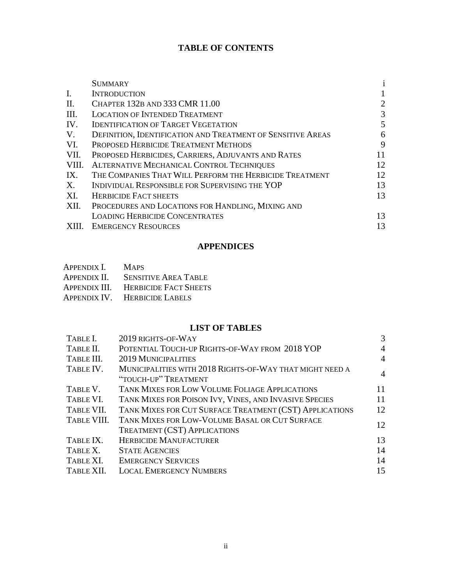## **TABLE OF CONTENTS**

|       | <b>SUMMARY</b>                                                     | $\bf i$ |
|-------|--------------------------------------------------------------------|---------|
| I.    | <b>INTRODUCTION</b>                                                |         |
| II.   | CHAPTER 132B AND 333 CMR 11.00                                     | 2       |
| III.  | <b>LOCATION OF INTENDED TREATMENT</b>                              | 3       |
| IV.   | <b>IDENTIFICATION OF TARGET VEGETATION</b>                         | 5       |
| V.    | <b>DEFINITION, IDENTIFICATION AND TREATMENT OF SENSITIVE AREAS</b> | 6       |
| VI.   | PROPOSED HERBICIDE TREATMENT METHODS                               | 9       |
| VII.  | PROPOSED HERBICIDES, CARRIERS, ADJUVANTS AND RATES                 | 11      |
| VIII. | ALTERNATIVE MECHANICAL CONTROL TECHNIQUES                          | 12      |
| IX.   | THE COMPANIES THAT WILL PERFORM THE HERBICIDE TREATMENT            | 12      |
| X.    | INDIVIDUAL RESPONSIBLE FOR SUPERVISING THE YOP                     | 13      |
| XI.   | <b>HERBICIDE FACT SHEETS</b>                                       | 13      |
| XII.  | PROCEDURES AND LOCATIONS FOR HANDLING, MIXING AND                  |         |
|       | <b>LOADING HERBICIDE CONCENTRATES</b>                              | 13      |
|       | <b>EMERGENCY RESOURCES</b>                                         | 13      |

## **APPENDICES**

| APPENDIX I. | <b>MAPS</b>                         |
|-------------|-------------------------------------|
|             | APPENDIX II. SENSITIVE AREA TABLE   |
|             | APPENDIX III. HERBICIDE FACT SHEETS |

APPENDIX IV. HERBICIDE LABELS

#### **LIST OF TABLES**

| TABLE I.    | 2019 RIGHTS-OF-WAY                                                                    | 3              |
|-------------|---------------------------------------------------------------------------------------|----------------|
| TABLE II.   | POTENTIAL TOUCH-UP RIGHTS-OF-WAY FROM 2018 YOP                                        | 4              |
| TABLE III.  | <b>2019 MUNICIPALITIES</b>                                                            | 4              |
| TABLE IV.   | MUNICIPALITIES WITH 2018 RIGHTS-OF-WAY THAT MIGHT NEED A<br>"TOUCH-UP" TREATMENT      | $\overline{4}$ |
| TABLE V.    | TANK MIXES FOR LOW VOLUME FOLIAGE APPLICATIONS                                        | 11             |
| TABLE VI.   | TANK MIXES FOR POISON IVY, VINES, AND INVASIVE SPECIES                                | 11             |
| TABLE VII.  | TANK MIXES FOR CUT SURFACE TREATMENT (CST) APPLICATIONS                               | 12             |
| TABLE VIII. | TANK MIXES FOR LOW-VOLUME BASAL OR CUT SURFACE<br><b>TREATMENT (CST) APPLICATIONS</b> | 12             |
| TABLE IX.   | <b>HERBICIDE MANUFACTURER</b>                                                         | 13             |
| TABLE X.    | <b>STATE AGENCIES</b>                                                                 | 14             |
| TABLE XI.   | <b>EMERGENCY SERVICES</b>                                                             | 14             |
| TABLE XII.  | <b>LOCAL EMERGENCY NUMBERS</b>                                                        | 15             |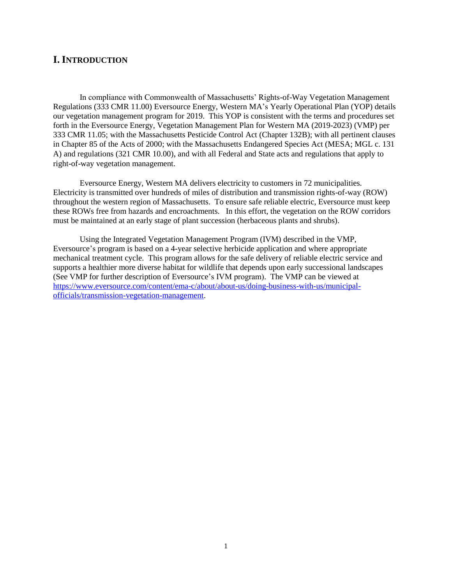## **I.INTRODUCTION**

In compliance with Commonwealth of Massachusetts' Rights-of-Way Vegetation Management Regulations (333 CMR 11.00) Eversource Energy, Western MA's Yearly Operational Plan (YOP) details our vegetation management program for 2019. This YOP is consistent with the terms and procedures set forth in the Eversource Energy, Vegetation Management Plan for Western MA (2019-2023) (VMP) per 333 CMR 11.05; with the Massachusetts Pesticide Control Act (Chapter 132B); with all pertinent clauses in Chapter 85 of the Acts of 2000; with the Massachusetts Endangered Species Act (MESA; MGL c. 131 A) and regulations (321 CMR 10.00), and with all Federal and State acts and regulations that apply to right-of-way vegetation management.

Eversource Energy, Western MA delivers electricity to customers in 72 municipalities. Electricity is transmitted over hundreds of miles of distribution and transmission rights-of-way (ROW) throughout the western region of Massachusetts. To ensure safe reliable electric, Eversource must keep these ROWs free from hazards and encroachments. In this effort, the vegetation on the ROW corridors must be maintained at an early stage of plant succession (herbaceous plants and shrubs).

Using the Integrated Vegetation Management Program (IVM) described in the VMP, Eversource's program is based on a 4-year selective herbicide application and where appropriate mechanical treatment cycle. This program allows for the safe delivery of reliable electric service and supports a healthier more diverse habitat for wildlife that depends upon early successional landscapes (See VMP for further description of Eversource's IVM program). The VMP can be viewed at [https://www.eversource.com/content/ema-c/about/about-us/doing-business-with-us/municipal](https://www.eversource.com/content/ema-c/about/about-us/doing-business-with-us/municipal-officials/transmission-vegetation-management)[officials/transmission-vegetation-management.](https://www.eversource.com/content/ema-c/about/about-us/doing-business-with-us/municipal-officials/transmission-vegetation-management)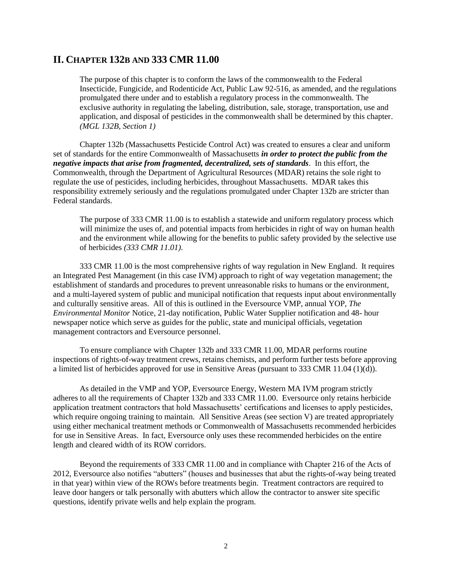## **II. CHAPTER 132B AND 333 CMR 11.00**

The purpose of this chapter is to conform the laws of the commonwealth to the Federal Insecticide, Fungicide, and Rodenticide Act, Public Law 92-516, as amended, and the regulations promulgated there under and to establish a regulatory process in the commonwealth. The exclusive authority in regulating the labeling, distribution, sale, storage, transportation, use and application, and disposal of pesticides in the commonwealth shall be determined by this chapter. *(MGL 132B, Section 1)*

Chapter 132b (Massachusetts Pesticide Control Act) was created to ensures a clear and uniform set of standards for the entire Commonwealth of Massachusetts *in order to protect the public from the negative impacts that arise from fragmented, decentralized, sets of standards*. In this effort, the Commonwealth, through the Department of Agricultural Resources (MDAR) retains the sole right to regulate the use of pesticides, including herbicides, throughout Massachusetts. MDAR takes this responsibility extremely seriously and the regulations promulgated under Chapter 132b are stricter than Federal standards.

The purpose of 333 CMR 11.00 is to establish a statewide and uniform regulatory process which will minimize the uses of, and potential impacts from herbicides in right of way on human health and the environment while allowing for the benefits to public safety provided by the selective use of herbicides *(333 CMR 11.01)*.

333 CMR 11.00 is the most comprehensive rights of way regulation in New England. It requires an Integrated Pest Management (in this case IVM) approach to right of way vegetation management; the establishment of standards and procedures to prevent unreasonable risks to humans or the environment, and a multi-layered system of public and municipal notification that requests input about environmentally and culturally sensitive areas. All of this is outlined in the Eversource VMP, annual YOP, *The Environmental Monitor* Notice, 21-day notification, Public Water Supplier notification and 48- hour newspaper notice which serve as guides for the public, state and municipal officials, vegetation management contractors and Eversource personnel.

To ensure compliance with Chapter 132b and 333 CMR 11.00, MDAR performs routine inspections of rights-of-way treatment crews, retains chemists, and perform further tests before approving a limited list of herbicides approved for use in Sensitive Areas (pursuant to 333 CMR 11.04 (1)(d)).

As detailed in the VMP and YOP, Eversource Energy, Western MA IVM program strictly adheres to all the requirements of Chapter 132b and 333 CMR 11.00. Eversource only retains herbicide application treatment contractors that hold Massachusetts' certifications and licenses to apply pesticides, which require ongoing training to maintain. All Sensitive Areas (see section V) are treated appropriately using either mechanical treatment methods or Commonwealth of Massachusetts recommended herbicides for use in Sensitive Areas. In fact, Eversource only uses these recommended herbicides on the entire length and cleared width of its ROW corridors.

Beyond the requirements of 333 CMR 11.00 and in compliance with Chapter 216 of the Acts of 2012, Eversource also notifies "abutters" (houses and businesses that abut the rights-of-way being treated in that year) within view of the ROWs before treatments begin. Treatment contractors are required to leave door hangers or talk personally with abutters which allow the contractor to answer site specific questions, identify private wells and help explain the program.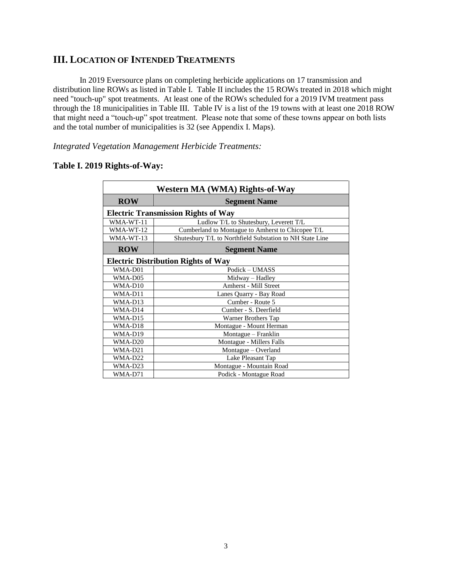## **III. LOCATION OF INTENDED TREATMENTS**

In 2019 Eversource plans on completing herbicide applications on 17 transmission and distribution line ROWs as listed in Table I. Table II includes the 15 ROWs treated in 2018 which might need "touch-up" spot treatments. At least one of the ROWs scheduled for a 2019 IVM treatment pass through the 18 municipalities in Table III. Table IV is a list of the 19 towns with at least one 2018 ROW that might need a "touch-up" spot treatment. Please note that some of these towns appear on both lists and the total number of municipalities is 32 (see Appendix I. Maps).

*Integrated Vegetation Management Herbicide Treatments:*

| Western MA (WMA) Rights-of-Way |                                                          |  |  |  |  |  |
|--------------------------------|----------------------------------------------------------|--|--|--|--|--|
| <b>ROW</b>                     | <b>Segment Name</b>                                      |  |  |  |  |  |
|                                | <b>Electric Transmission Rights of Way</b>               |  |  |  |  |  |
| WMA-WT-11                      | Ludlow T/L to Shutesbury, Leverett T/L                   |  |  |  |  |  |
| WMA-WT-12                      | Cumberland to Montague to Amherst to Chicopee T/L        |  |  |  |  |  |
| WMA-WT-13                      | Shutesbury T/L to Northfield Substation to NH State Line |  |  |  |  |  |
| <b>ROW</b>                     | <b>Segment Name</b>                                      |  |  |  |  |  |
|                                | <b>Electric Distribution Rights of Way</b>               |  |  |  |  |  |
| WMA-D01                        | Podick - UMASS                                           |  |  |  |  |  |
| WMA-D05                        | Midway - Hadley                                          |  |  |  |  |  |
| WMA-D10                        | Amherst - Mill Street                                    |  |  |  |  |  |
| WMA-D11                        | Lanes Quarry - Bay Road                                  |  |  |  |  |  |
| WMA-D13                        | Cumber - Route 5                                         |  |  |  |  |  |
| WMA-D14                        | Cumber - S. Deerfield                                    |  |  |  |  |  |
| WMA-D15                        | Warner Brothers Tap                                      |  |  |  |  |  |
| WMA-D18                        | Montague - Mount Herman                                  |  |  |  |  |  |
| WMA-D19                        | Montague - Franklin                                      |  |  |  |  |  |
| WMA-D <sub>20</sub>            | Montague - Millers Falls                                 |  |  |  |  |  |
| WMA-D21                        | Montague - Overland                                      |  |  |  |  |  |
| WMA-D22                        | Lake Pleasant Tap                                        |  |  |  |  |  |
| WMA-D23                        | Montague - Mountain Road                                 |  |  |  |  |  |
| WMA-D71                        | Podick - Montague Road                                   |  |  |  |  |  |

## **Table I. 2019 Rights-of-Way:**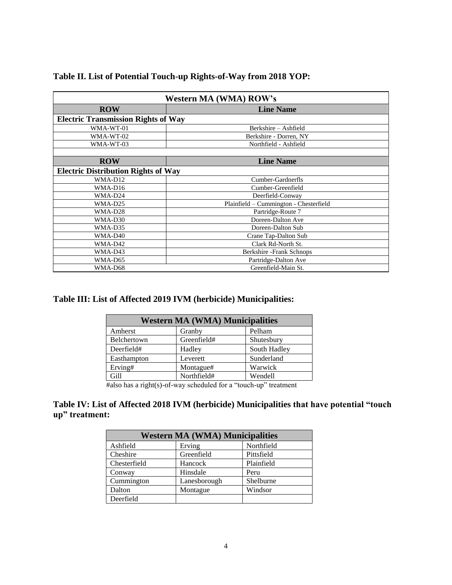| <b>Western MA (WMA) ROW's</b>              |                                        |  |  |  |  |
|--------------------------------------------|----------------------------------------|--|--|--|--|
| <b>ROW</b><br><b>Line Name</b>             |                                        |  |  |  |  |
| <b>Electric Transmission Rights of Way</b> |                                        |  |  |  |  |
| WMA-WT-01                                  | Berkshire - Ashfield                   |  |  |  |  |
| WMA-WT-02                                  | Berkshire - Dorren, NY                 |  |  |  |  |
| WMA-WT-03                                  | Northfield - Ashfield                  |  |  |  |  |
|                                            |                                        |  |  |  |  |
| <b>ROW</b>                                 | <b>Line Name</b>                       |  |  |  |  |
| <b>Electric Distribution Rights of Way</b> |                                        |  |  |  |  |
| WMA-D12                                    | Cumber-Gardnerfls                      |  |  |  |  |
| WMA-D16                                    | Cumber-Greenfield                      |  |  |  |  |
| WMA-D24                                    | Deerfield-Conway                       |  |  |  |  |
| WMA-D25                                    | Plainfield - Cummington - Chesterfield |  |  |  |  |
| WMA-D28<br>Partridge-Route 7               |                                        |  |  |  |  |
| WMA-D30                                    | Doreen-Dalton Ave                      |  |  |  |  |
| WMA-D35                                    | Doreen-Dalton Sub                      |  |  |  |  |
| WMA-D40                                    | Crane Tap-Dalton Sub                   |  |  |  |  |
| WMA-D42                                    | Clark Rd-North St.                     |  |  |  |  |
| WMA-D43                                    | Berkshire - Frank Schnops              |  |  |  |  |
| WMA-D65                                    | Partridge-Dalton Ave                   |  |  |  |  |
| WMA-D68                                    | Greenfield-Main St.                    |  |  |  |  |

## **Table II. List of Potential Touch-up Rights-of-Way from 2018 YOP:**

## **Table III: List of Affected 2019 IVM (herbicide) Municipalities:**

| <b>Western MA (WMA) Municipalities</b> |             |              |  |  |
|----------------------------------------|-------------|--------------|--|--|
| Pelham<br>Amherst<br>Granby            |             |              |  |  |
| Belchertown<br>Greenfield#             |             | Shutesbury   |  |  |
| Deerfield#                             | Hadley      | South Hadley |  |  |
| Easthampton                            | Leverett    | Sunderland   |  |  |
| Erving#                                | Montague#   | Warwick      |  |  |
| Gill                                   | Northfield# | Wendell      |  |  |

#also has a right(s)-of-way scheduled for a "touch-up" treatment

## **Table IV: List of Affected 2018 IVM (herbicide) Municipalities that have potential "touch up" treatment:**

| <b>Western MA (WMA) Municipalities</b> |              |            |  |  |
|----------------------------------------|--------------|------------|--|--|
| Northfield<br>Ashfield<br>Erving       |              |            |  |  |
| Cheshire                               | Greenfield   | Pittsfield |  |  |
| Chesterfield                           | Hancock      | Plainfield |  |  |
| Conway                                 | Hinsdale     | Peru       |  |  |
| Cummington                             | Lanesborough | Shelburne  |  |  |
| Dalton                                 | Montague     | Windsor    |  |  |
| Deerfield                              |              |            |  |  |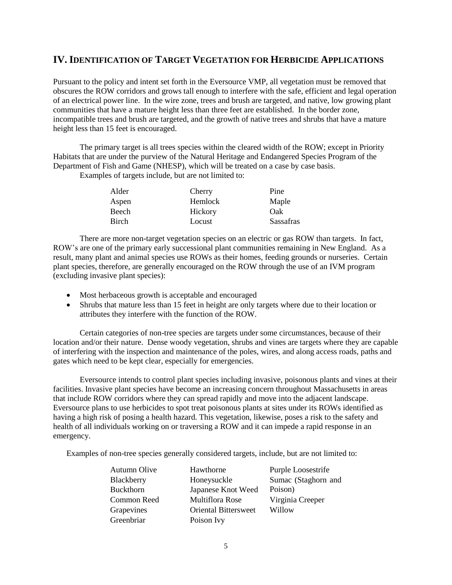## **IV.IDENTIFICATION OF TARGET VEGETATION FOR HERBICIDE APPLICATIONS**

Pursuant to the policy and intent set forth in the Eversource VMP, all vegetation must be removed that obscures the ROW corridors and grows tall enough to interfere with the safe, efficient and legal operation of an electrical power line. In the wire zone, trees and brush are targeted, and native, low growing plant communities that have a mature height less than three feet are established. In the border zone, incompatible trees and brush are targeted, and the growth of native trees and shrubs that have a mature height less than 15 feet is encouraged.

The primary target is all trees species within the cleared width of the ROW; except in Priority Habitats that are under the purview of the Natural Heritage and Endangered Species Program of the Department of Fish and Game (NHESP), which will be treated on a case by case basis.

Examples of targets include, but are not limited to:

| Alder | Cherry  | Pine             |
|-------|---------|------------------|
| Aspen | Hemlock | Maple            |
| Beech | Hickory | Oak              |
| Birch | Locust  | <b>Sassafras</b> |

There are more non-target vegetation species on an electric or gas ROW than targets. In fact, ROW's are one of the primary early successional plant communities remaining in New England. As a result, many plant and animal species use ROWs as their homes, feeding grounds or nurseries. Certain plant species, therefore, are generally encouraged on the ROW through the use of an IVM program (excluding invasive plant species):

- Most herbaceous growth is acceptable and encouraged
- Shrubs that mature less than 15 feet in height are only targets where due to their location or attributes they interfere with the function of the ROW.

Certain categories of non-tree species are targets under some circumstances, because of their location and/or their nature. Dense woody vegetation, shrubs and vines are targets where they are capable of interfering with the inspection and maintenance of the poles, wires, and along access roads, paths and gates which need to be kept clear, especially for emergencies.

Eversource intends to control plant species including invasive, poisonous plants and vines at their facilities. Invasive plant species have become an increasing concern throughout Massachusetts in areas that include ROW corridors where they can spread rapidly and move into the adjacent landscape. Eversource plans to use herbicides to spot treat poisonous plants at sites under its ROWs identified as having a high risk of posing a health hazard. This vegetation, likewise, poses a risk to the safety and health of all individuals working on or traversing a ROW and it can impede a rapid response in an emergency.

Examples of non-tree species generally considered targets, include, but are not limited to:

| <b>Autumn Olive</b> | Hawthorne                   | Purple Loosestrife  |
|---------------------|-----------------------------|---------------------|
| Blackberry          | Honeysuckle                 | Sumac (Staghorn and |
| <b>Buckthorn</b>    | Japanese Knot Weed          | Poison)             |
| Common Reed         | Multiflora Rose             | Virginia Creeper    |
| Grapevines          | <b>Oriental Bittersweet</b> | Willow              |
| Greenbriar          | Poison Ivy                  |                     |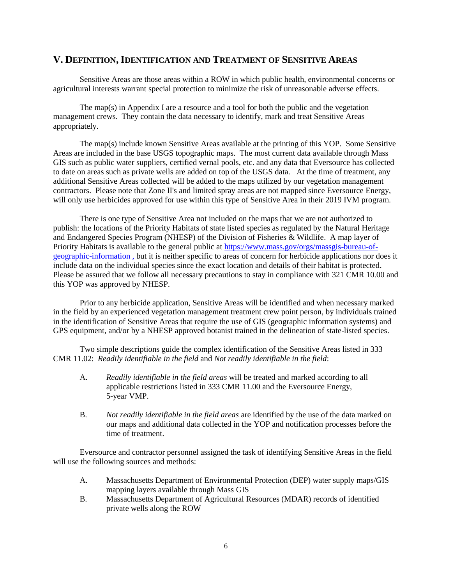## **V. DEFINITION,IDENTIFICATION AND TREATMENT OF SENSITIVE AREAS**

Sensitive Areas are those areas within a ROW in which public health, environmental concerns or agricultural interests warrant special protection to minimize the risk of unreasonable adverse effects.

The map(s) in Appendix I are a resource and a tool for both the public and the vegetation management crews. They contain the data necessary to identify, mark and treat Sensitive Areas appropriately.

The map(s) include known Sensitive Areas available at the printing of this YOP. Some Sensitive Areas are included in the base USGS topographic maps. The most current data available through Mass GIS such as public water suppliers, certified vernal pools, etc. and any data that Eversource has collected to date on areas such as private wells are added on top of the USGS data. At the time of treatment, any additional Sensitive Areas collected will be added to the maps utilized by our vegetation management contractors. Please note that Zone II's and limited spray areas are not mapped since Eversource Energy, will only use herbicides approved for use within this type of Sensitive Area in their 2019 IVM program.

There is one type of Sensitive Area not included on the maps that we are not authorized to publish: the locations of the Priority Habitats of state listed species as regulated by the Natural Heritage and Endangered Species Program (NHESP) of the Division of Fisheries & Wildlife. A map layer of Priority Habitats is available to the general public at https://www.mass.gov/orgs/massgis-bureau-ofgeographic-information , but it is neither specific to areas of concern for herbicide applications nor does it include data on the individual species since the exact location and details of their habitat is protected. Please be assured that we follow all necessary precautions to stay in compliance with 321 CMR 10.00 and this YOP was approved by NHESP.

Prior to any herbicide application, Sensitive Areas will be identified and when necessary marked in the field by an experienced vegetation management treatment crew point person, by individuals trained in the identification of Sensitive Areas that require the use of GIS (geographic information systems) and GPS equipment, and/or by a NHESP approved botanist trained in the delineation of state-listed species.

Two simple descriptions guide the complex identification of the Sensitive Areas listed in 333 CMR 11.02: *Readily identifiable in the field* and *Not readily identifiable in the field*:

- A. *Readily identifiable in the field areas* will be treated and marked according to all applicable restrictions listed in 333 CMR 11.00 and the Eversource Energy, 5-year VMP.
- B. *Not readily identifiable in the field areas* are identified by the use of the data marked on our maps and additional data collected in the YOP and notification processes before the time of treatment.

Eversource and contractor personnel assigned the task of identifying Sensitive Areas in the field will use the following sources and methods:

- A. Massachusetts Department of Environmental Protection (DEP) water supply maps/GIS mapping layers available through Mass GIS
- B. Massachusetts Department of Agricultural Resources (MDAR) records of identified private wells along the ROW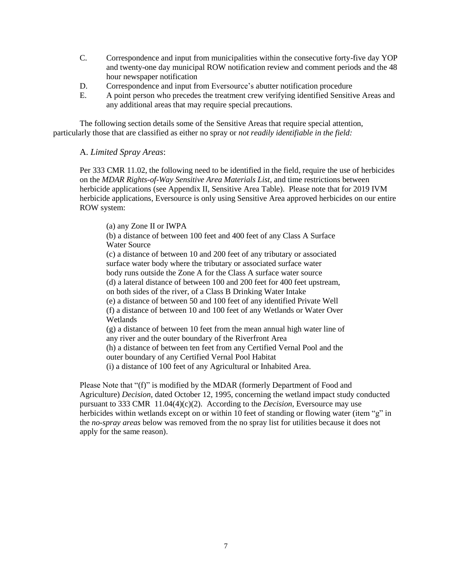- C. Correspondence and input from municipalities within the consecutive forty-five day YOP and twenty-one day municipal ROW notification review and comment periods and the 48 hour newspaper notification
- D. Correspondence and input from Eversource's abutter notification procedure
- E. A point person who precedes the treatment crew verifying identified Sensitive Areas and any additional areas that may require special precautions.

The following section details some of the Sensitive Areas that require special attention, particularly those that are classified as either no spray or *not readily identifiable in the field:*

#### A. *Limited Spray Areas*:

Per 333 CMR 11.02, the following need to be identified in the field, require the use of herbicides on the *MDAR Rights-of-Way Sensitive Area Materials List*, and time restrictions between herbicide applications (see Appendix II, Sensitive Area Table). Please note that for 2019 IVM herbicide applications, Eversource is only using Sensitive Area approved herbicides on our entire ROW system:

(a) any Zone II or IWPA

(b) a distance of between 100 feet and 400 feet of any Class A Surface Water Source

(c) a distance of between 10 and 200 feet of any tributary or associated surface water body where the tributary or associated surface water body runs outside the Zone A for the Class A surface water source

(d) a lateral distance of between 100 and 200 feet for 400 feet upstream,

on both sides of the river, of a Class B Drinking Water Intake

(e) a distance of between 50 and 100 feet of any identified Private Well

(f) a distance of between 10 and 100 feet of any Wetlands or Water Over Wetlands

(g) a distance of between 10 feet from the mean annual high water line of any river and the outer boundary of the Riverfront Area

(h) a distance of between ten feet from any Certified Vernal Pool and the outer boundary of any Certified Vernal Pool Habitat

(i) a distance of 100 feet of any Agricultural or Inhabited Area.

Please Note that "(f)" is modified by the MDAR (formerly Department of Food and Agriculture) *Decision*, dated October 12, 1995, concerning the wetland impact study conducted pursuant to 333 CMR 11.04(4)(c)(2). According to the *Decision*, Eversource may use herbicides within wetlands except on or within 10 feet of standing or flowing water (item "g" in the *no-spray areas* below was removed from the no spray list for utilities because it does not apply for the same reason).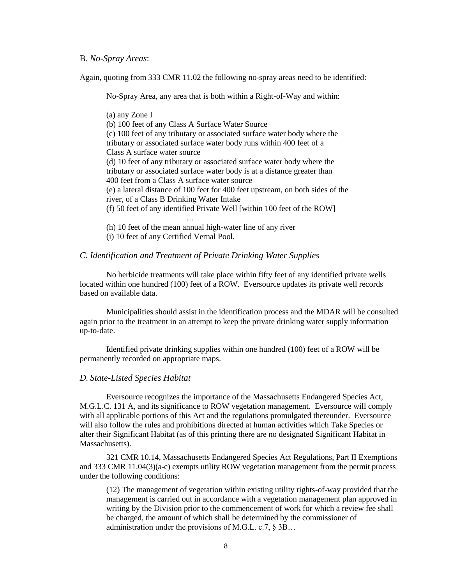#### B. *No-Spray Areas*:

Again, quoting from 333 CMR 11.02 the following no-spray areas need to be identified:

#### No-Spray Area, any area that is both within a Right-of-Way and within:

(a) any Zone I (b) 100 feet of any Class A Surface Water Source (c) 100 feet of any tributary or associated surface water body where the tributary or associated surface water body runs within 400 feet of a Class A surface water source (d) 10 feet of any tributary or associated surface water body where the tributary or associated surface water body is at a distance greater than 400 feet from a Class A surface water source (e) a lateral distance of 100 feet for 400 feet upstream, on both sides of the river, of a Class B Drinking Water Intake (f) 50 feet of any identified Private Well [within 100 feet of the ROW] …

(h) 10 feet of the mean annual high-water line of any river

(i) 10 feet of any Certified Vernal Pool.

#### *C. Identification and Treatment of Private Drinking Water Supplies*

No herbicide treatments will take place within fifty feet of any identified private wells located within one hundred (100) feet of a ROW. Eversource updates its private well records based on available data.

Municipalities should assist in the identification process and the MDAR will be consulted again prior to the treatment in an attempt to keep the private drinking water supply information up-to-date.

Identified private drinking supplies within one hundred (100) feet of a ROW will be permanently recorded on appropriate maps.

#### *D. State-Listed Species Habitat*

Eversource recognizes the importance of the Massachusetts Endangered Species Act, M.G.L.C. 131 A, and its significance to ROW vegetation management. Eversource will comply with all applicable portions of this Act and the regulations promulgated thereunder. Eversource will also follow the rules and prohibitions directed at human activities which Take Species or alter their Significant Habitat (as of this printing there are no designated Significant Habitat in Massachusetts).

321 CMR 10.14, Massachusetts Endangered Species Act Regulations, Part II Exemptions and 333 CMR 11.04(3)(a-c) exempts utility ROW vegetation management from the permit process under the following conditions:

(12) The management of vegetation within existing utility rights-of-way provided that the management is carried out in accordance with a vegetation management plan approved in writing by the Division prior to the commencement of work for which a review fee shall be charged, the amount of which shall be determined by the commissioner of administration under the provisions of M.G.L. c.7, § 3B…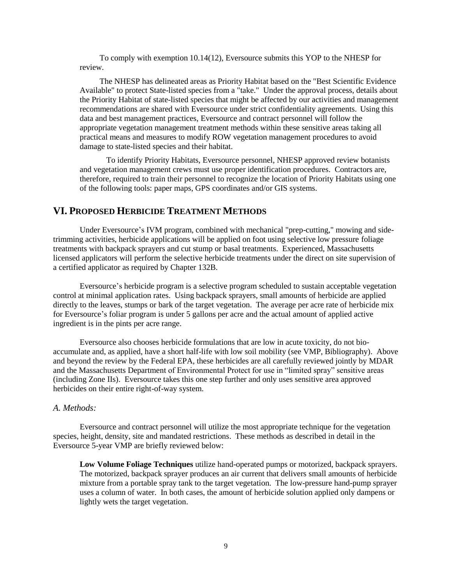To comply with exemption 10.14(12), Eversource submits this YOP to the NHESP for review.

The NHESP has delineated areas as Priority Habitat based on the "Best Scientific Evidence Available" to protect State-listed species from a "take." Under the approval process, details about the Priority Habitat of state-listed species that might be affected by our activities and management recommendations are shared with Eversource under strict confidentiality agreements. Using this data and best management practices, Eversource and contract personnel will follow the appropriate vegetation management treatment methods within these sensitive areas taking all practical means and measures to modify ROW vegetation management procedures to avoid damage to state-listed species and their habitat.

To identify Priority Habitats, Eversource personnel, NHESP approved review botanists and vegetation management crews must use proper identification procedures. Contractors are, therefore, required to train their personnel to recognize the location of Priority Habitats using one of the following tools: paper maps, GPS coordinates and/or GIS systems.

#### **VI. PROPOSED HERBICIDE TREATMENT METHODS**

Under Eversource's IVM program, combined with mechanical "prep-cutting," mowing and sidetrimming activities, herbicide applications will be applied on foot using selective low pressure foliage treatments with backpack sprayers and cut stump or basal treatments. Experienced, Massachusetts licensed applicators will perform the selective herbicide treatments under the direct on site supervision of a certified applicator as required by Chapter 132B.

Eversource's herbicide program is a selective program scheduled to sustain acceptable vegetation control at minimal application rates. Using backpack sprayers, small amounts of herbicide are applied directly to the leaves, stumps or bark of the target vegetation. The average per acre rate of herbicide mix for Eversource's foliar program is under 5 gallons per acre and the actual amount of applied active ingredient is in the pints per acre range.

Eversource also chooses herbicide formulations that are low in acute toxicity, do not bioaccumulate and, as applied, have a short half-life with low soil mobility (see VMP, Bibliography). Above and beyond the review by the Federal EPA, these herbicides are all carefully reviewed jointly by MDAR and the Massachusetts Department of Environmental Protect for use in "limited spray" sensitive areas (including Zone IIs). Eversource takes this one step further and only uses sensitive area approved herbicides on their entire right-of-way system.

#### *A. Methods:*

Eversource and contract personnel will utilize the most appropriate technique for the vegetation species, height, density, site and mandated restrictions. These methods as described in detail in the Eversource 5-year VMP are briefly reviewed below:

**Low Volume Foliage Techniques** utilize hand-operated pumps or motorized, backpack sprayers. The motorized, backpack sprayer produces an air current that delivers small amounts of herbicide mixture from a portable spray tank to the target vegetation. The low-pressure hand-pump sprayer uses a column of water. In both cases, the amount of herbicide solution applied only dampens or lightly wets the target vegetation.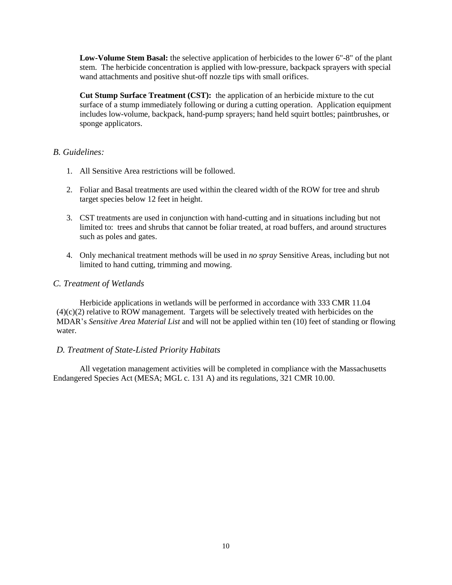**Low-Volume Stem Basal:** the selective application of herbicides to the lower 6"-8" of the plant stem. The herbicide concentration is applied with low-pressure, backpack sprayers with special wand attachments and positive shut-off nozzle tips with small orifices.

**Cut Stump Surface Treatment (CST):** the application of an herbicide mixture to the cut surface of a stump immediately following or during a cutting operation. Application equipment includes low-volume, backpack, hand-pump sprayers; hand held squirt bottles; paintbrushes, or sponge applicators.

#### *B. Guidelines:*

- 1. All Sensitive Area restrictions will be followed.
- 2. Foliar and Basal treatments are used within the cleared width of the ROW for tree and shrub target species below 12 feet in height.
- 3. CST treatments are used in conjunction with hand-cutting and in situations including but not limited to: trees and shrubs that cannot be foliar treated, at road buffers, and around structures such as poles and gates.
- 4. Only mechanical treatment methods will be used in *no spray* Sensitive Areas, including but not limited to hand cutting, trimming and mowing.

#### *C. Treatment of Wetlands*

Herbicide applications in wetlands will be performed in accordance with 333 CMR 11.04  $(4)(c)(2)$  relative to ROW management. Targets will be selectively treated with herbicides on the MDAR's *Sensitive Area Material List* and will not be applied within ten (10) feet of standing or flowing water.

#### *D. Treatment of State-Listed Priority Habitats*

All vegetation management activities will be completed in compliance with the Massachusetts Endangered Species Act (MESA; MGL c. 131 A) and its regulations, 321 CMR 10.00.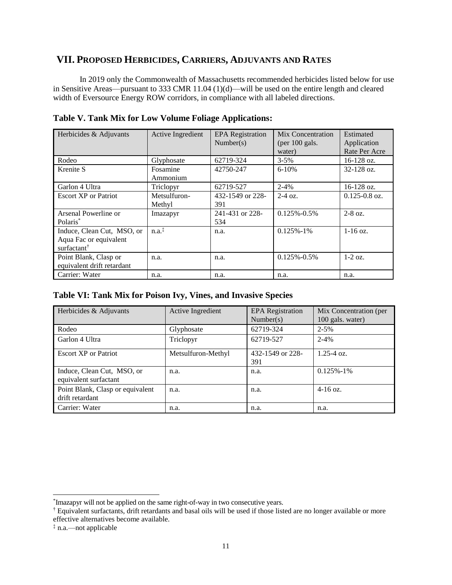## **VII. PROPOSED HERBICIDES, CARRIERS, ADJUVANTS AND RATES**

In 2019 only the Commonwealth of Massachusetts recommended herbicides listed below for use in Sensitive Areas—pursuant to 333 CMR 11.04 (1)(d)—will be used on the entire length and cleared width of Eversource Energy ROW corridors, in compliance with all labeled directions.

| Herbicides & Adjuvants                                                          | Active Ingredient                       | <b>EPA</b> Registration<br>Number(s) | Mix Concentration<br>(per $100$ gals.<br>water) | Estimated<br>Application<br>Rate Per Acre |
|---------------------------------------------------------------------------------|-----------------------------------------|--------------------------------------|-------------------------------------------------|-------------------------------------------|
| Rodeo                                                                           | Glyphosate                              | 62719-324                            | $3 - 5\%$                                       | $16-128$ oz.                              |
| Krenite S                                                                       | Fosamine<br>Ammonium                    | 42750-247                            | $6 - 10%$                                       | $32 - 128$ oz.                            |
| Garlon 4 Ultra                                                                  | Triclopyr                               | 62719-527                            | $2 - 4\%$                                       | $16-128$ oz.                              |
| <b>Escort XP</b> or Patriot                                                     | Metsulfuron-<br>Methyl                  | 432-1549 or 228-<br>391              | $2-4$ oz.                                       | $0.125 - 0.8$ oz.                         |
| Arsenal Powerline or<br>Polaris <sup>*</sup>                                    | Imazapyr                                | 241-431 or 228-<br>534               | $0.125\% - 0.5\%$                               | $2-8$ oz.                                 |
| Induce, Clean Cut, MSO, or<br>Aqua Fac or equivalent<br>surfactant <sup>†</sup> | $n.a.$ <sup><math>\ddagger</math></sup> | n.a.                                 | $0.125\% - 1\%$                                 | $1-16$ oz.                                |
| Point Blank, Clasp or<br>equivalent drift retardant                             | n.a.                                    | n.a.                                 | $0.125\% - 0.5\%$                               | $1-2$ oz.                                 |
| Carrier: Water                                                                  | n.a.                                    | n.a.                                 | n.a.                                            | n.a.                                      |

**Table V. Tank Mix for Low Volume Foliage Applications:**

## **Table VI: Tank Mix for Poison Ivy, Vines, and Invasive Species**

| Herbicides & Adjuvants                              | Active Ingredient  | <b>EPA</b> Registration<br>Number(s) | Mix Concentration (per<br>100 gals. water) |
|-----------------------------------------------------|--------------------|--------------------------------------|--------------------------------------------|
| Rodeo                                               | Glyphosate         | 62719-324                            | $2 - 5\%$                                  |
| Garlon 4 Ultra                                      | Triclopyr          | 62719-527                            | $2 - 4%$                                   |
| <b>Escort XP</b> or Patriot                         | Metsulfuron-Methyl | 432-1549 or 228-<br>391              | $1.25 - 4.0z$                              |
| Induce, Clean Cut, MSO, or<br>equivalent surfactant | n.a.               | n.a.                                 | $0.125\% - 1\%$                            |
| Point Blank, Clasp or equivalent<br>drift retardant | n.a.               | n.a.                                 | $4-16$ oz.                                 |
| Carrier: Water                                      | n.a.               | n.a.                                 | n.a.                                       |

 $\overline{a}$ 

<sup>\*</sup> Imazapyr will not be applied on the same right-of-way in two consecutive years.

<sup>†</sup> Equivalent surfactants, drift retardants and basal oils will be used if those listed are no longer available or more effective alternatives become available.

<sup>‡</sup> n.a.—not applicable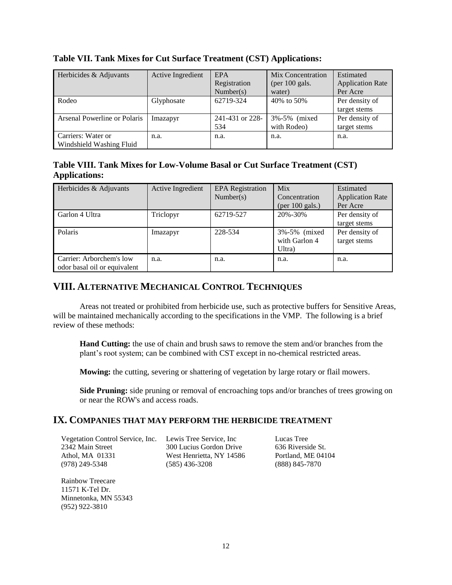| Herbicides & Adjuvants                         | Active Ingredient | EPA<br>Registration<br>Number(s) | Mix Concentration<br>(per $100$ gals.<br>water) | Estimated<br><b>Application Rate</b><br>Per Acre |
|------------------------------------------------|-------------------|----------------------------------|-------------------------------------------------|--------------------------------------------------|
| Rodeo                                          | Glyphosate        | 62719-324                        | 40\% to 50\%                                    | Per density of<br>target stems                   |
| Arsenal Powerline or Polaris                   | Imazapyr          | 241-431 or 228-<br>534           | 3%-5% (mixed)<br>with Rodeo)                    | Per density of<br>target stems                   |
| Carriers: Water or<br>Windshield Washing Fluid | n.a.              | n.a.                             | n.a.                                            | n.a.                                             |

#### **Table VII. Tank Mixes for Cut Surface Treatment (CST) Applications:**

## **Table VIII. Tank Mixes for Low-Volume Basal or Cut Surface Treatment (CST) Applications:**

| Herbicides & Adjuvants                                   | Active Ingredient | <b>EPA</b> Registration<br>Number(s) | Mix<br>Concentration<br>(per $100$ gals.) | Estimated<br><b>Application Rate</b><br>Per Acre |
|----------------------------------------------------------|-------------------|--------------------------------------|-------------------------------------------|--------------------------------------------------|
| Garlon 4 Ultra                                           | Triclopyr         | 62719-527                            | 20%-30%                                   | Per density of<br>target stems                   |
| Polaris                                                  | Imazapyr          | 228-534                              | 3%-5% (mixed)<br>with Garlon 4<br>Ultra)  | Per density of<br>target stems                   |
| Carrier: Arborchem's low<br>odor basal oil or equivalent | n.a.              | n.a.                                 | n.a.                                      | n.a.                                             |

## **VIII. ALTERNATIVE MECHANICAL CONTROL TECHNIQUES**

Areas not treated or prohibited from herbicide use, such as protective buffers for Sensitive Areas, will be maintained mechanically according to the specifications in the VMP. The following is a brief review of these methods:

**Hand Cutting:** the use of chain and brush saws to remove the stem and/or branches from the plant's root system; can be combined with CST except in no-chemical restricted areas.

**Mowing:** the cutting, severing or shattering of vegetation by large rotary or flail mowers.

Side Pruning: side pruning or removal of encroaching tops and/or branches of trees growing on or near the ROW's and access roads.

#### **IX. COMPANIES THAT MAY PERFORM THE HERBICIDE TREATMENT**

Vegetation Control Service, Inc. Lewis Tree Service, Inc 2342 Main Street Athol, MA 01331 (978) 249-5348

300 Lucius Gordon Drive West Henrietta, NY 14586 (585) 436-3208

Lucas Tree 636 Riverside St. Portland, ME 04104 (888) 845-7870

Rainbow Treecare 11571 K-Tel Dr. Minnetonka, MN 55343 (952) 922-3810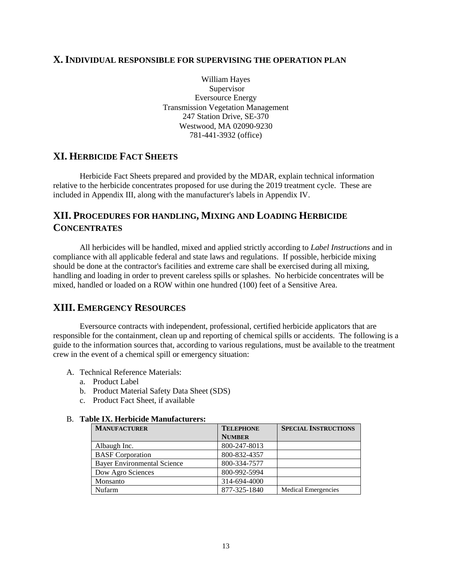#### **X.INDIVIDUAL RESPONSIBLE FOR SUPERVISING THE OPERATION PLAN**

William Hayes Supervisor Eversource Energy Transmission Vegetation Management 247 Station Drive, SE-370 Westwood, MA 02090-9230 781-441-3932 (office)

## **XI. HERBICIDE FACT SHEETS**

Herbicide Fact Sheets prepared and provided by the MDAR, explain technical information relative to the herbicide concentrates proposed for use during the 2019 treatment cycle. These are included in Appendix III, along with the manufacturer's labels in Appendix IV.

## **XII. PROCEDURES FOR HANDLING, MIXING AND LOADING HERBICIDE CONCENTRATES**

All herbicides will be handled, mixed and applied strictly according to *Label Instructions* and in compliance with all applicable federal and state laws and regulations. If possible, herbicide mixing should be done at the contractor's facilities and extreme care shall be exercised during all mixing, handling and loading in order to prevent careless spills or splashes. No herbicide concentrates will be mixed, handled or loaded on a ROW within one hundred (100) feet of a Sensitive Area.

## **XIII. EMERGENCY RESOURCES**

Eversource contracts with independent, professional, certified herbicide applicators that are responsible for the containment, clean up and reporting of chemical spills or accidents. The following is a guide to the information sources that, according to various regulations, must be available to the treatment crew in the event of a chemical spill or emergency situation:

- A. Technical Reference Materials:
	- a. Product Label
	- b. Product Material Safety Data Sheet (SDS)
	- c. Product Fact Sheet, if available

#### B. **Table IX. Herbicide Manufacturers:**

| <b>MANUFACTURER</b>                | <b>TELEPHONE</b> | <b>SPECIAL INSTRUCTIONS</b> |  |
|------------------------------------|------------------|-----------------------------|--|
|                                    | <b>NUMBER</b>    |                             |  |
| Albaugh Inc.                       | 800-247-8013     |                             |  |
| <b>BASF</b> Corporation            | 800-832-4357     |                             |  |
| <b>Bayer Environmental Science</b> | 800-334-7577     |                             |  |
| Dow Agro Sciences                  | 800-992-5994     |                             |  |
| Monsanto                           | 314-694-4000     |                             |  |
| Nufarm                             | 877-325-1840     | Medical Emergencies         |  |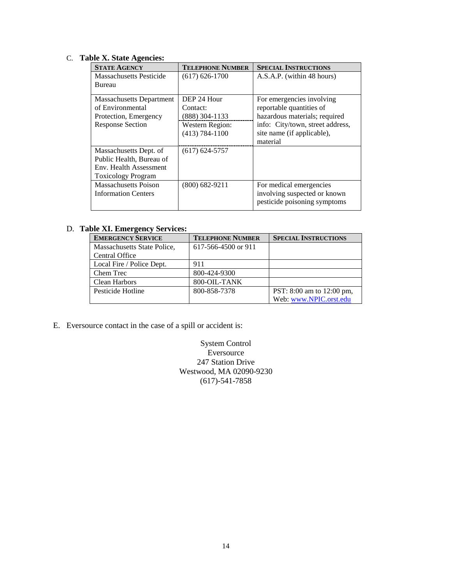## C. **Table X. State Agencies:**

| <b>STATE AGENCY</b>             | <b>TELEPHONE NUMBER</b> | <b>SPECIAL INSTRUCTIONS</b>      |
|---------------------------------|-------------------------|----------------------------------|
| <b>Massachusetts Pesticide</b>  | $(617) 626 - 1700$      | A.S.A.P. (within 48 hours)       |
| Bureau                          |                         |                                  |
| <b>Massachusetts Department</b> | DEP 24 Hour             | For emergencies involving        |
| of Environmental                | Contact:                | reportable quantities of         |
| Protection, Emergency           | (888) 304-1133          | hazardous materials; required    |
| <b>Response Section</b>         | Western Region:         | info: City/town, street address, |
|                                 | $(413) 784 - 1100$      | site name (if applicable),       |
|                                 |                         | material                         |
| Massachusetts Dept. of          | $(617) 624 - 5757$      |                                  |
| Public Health, Bureau of        |                         |                                  |
| Env. Health Assessment          |                         |                                  |
| <b>Toxicology Program</b>       |                         |                                  |
| <b>Massachusetts Poison</b>     | $(800)$ 682-9211        | For medical emergencies          |
| <b>Information Centers</b>      |                         | involving suspected or known     |
|                                 |                         | pesticide poisoning symptoms     |

#### D. **Table XI. Emergency Services:**

| <b>EMERGENCY SERVICE</b>    | <b>TELEPHONE NUMBER</b> | <b>SPECIAL INSTRUCTIONS</b> |
|-----------------------------|-------------------------|-----------------------------|
| Massachusetts State Police, | 617-566-4500 or 911     |                             |
| Central Office              |                         |                             |
| Local Fire / Police Dept.   | 911                     |                             |
| Chem Trec                   | 800-424-9300            |                             |
| Clean Harbors               | 800-OIL-TANK            |                             |
| Pesticide Hotline           | 800-858-7378            | PST: 8:00 am to 12:00 pm,   |
|                             |                         | Web: www.NPIC.orst.edu      |

E. Eversource contact in the case of a spill or accident is:

System Control **Eversource** 247 Station Drive Westwood, MA 02090-9230 (617)-541-7858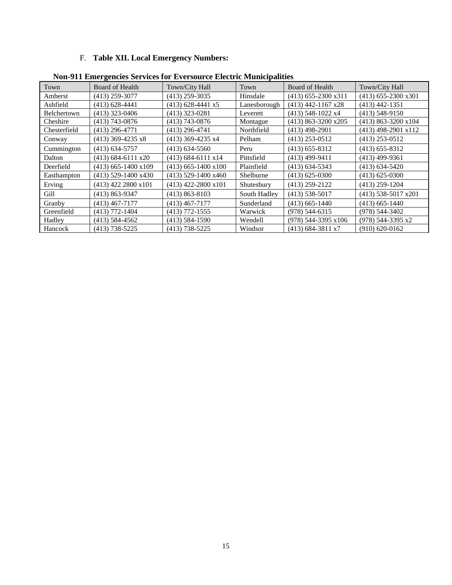## F. **Table XII. Local Emergency Numbers:**

| Town         | <b>Board of Health</b> | Town/City Hall        | Town         | <b>Board of Health</b> | Town/City Hall        |
|--------------|------------------------|-----------------------|--------------|------------------------|-----------------------|
| Amherst      | $(413)$ 259-3077       | $(413)$ 259-3035      | Hinsdale     | $(413)$ 655-2300 x311  | $(413)$ 655-2300 x301 |
| Ashfield     | $(413)$ 628-4441       | $(413)$ 628-4441 x5   | Lanesborough | $(413)$ 442-1167 x28   | $(413)$ 442-1351      |
| Belchertown  | $(413)$ 323-0406       | $(413)$ 323-0281      | Leverett     | (413) 548-1022 x4      | $(413)$ 548-9150      |
| Cheshire     | (413) 743-0876         | $(413)$ 743-0876      | Montague     | $(413)$ 863-3200 x205  | $(413)$ 863-3200 x104 |
| Chesterfield | $(413)$ 296-4771       | $(413)$ 296-4741      | Northfield   | $(413)$ 498-2901       | (413) 498-2901 x112   |
| Conway       | $(413)$ 369-4235 x8    | $(413)$ 369-4235 x4   | Pelham       | $(413)$ 253-0512       | $(413)$ 253-0512      |
| Cummington   | $(413)$ 634-5757       | $(413) 634 - 5560$    | Peru         | $(413)$ 655-8312       | $(413)$ 655-8312      |
| Dalton       | $(413)$ 684-6111 x20   | $(413)$ 684-6111 x14  | Pittsfield   | $(413)$ 499-9411       | $(413)$ 499-9361      |
| Deerfield    | $(413)$ 665-1400 x109  | $(413)$ 665-1400 x100 | Plainfield   | $(413) 634 - 5343$     | $(413) 634 - 5420$    |
| Easthampton  | (413) 529-1400 x430    | $(413)$ 529-1400 x460 | Shelburne    | $(413) 625 - 0300$     | $(413) 625 - 0300$    |
| Erving       | $(413)$ 422 2800 x101  | $(413)$ 422-2800 x101 | Shutesbury   | $(413)$ 259-2122       | $(413)$ 259-1204      |
| Gill         | $(413) 863 - 9347$     | $(413) 863 - 8103$    | South Hadley | $(413)$ 538-5017       | $(413)$ 538-5017 x201 |
| Granby       | $(413)$ 467-7177       | $(413)$ 467-7177      | Sunderland   | $(413)$ 665-1440       | $(413)$ 665-1440      |
| Greenfield   | $(413)$ 772-1404       | $(413)$ 772-1555      | Warwick      | $(978) 544 - 6315$     | $(978) 544 - 3402$    |
| Hadley       | $(413)$ 584-4562       | $(413)$ 584-1590      | Wendell      | (978) 544-3395 x106    | (978) 544-3395 x2     |
| Hancock      | $(413)$ 738-5225       | $(413)$ 738-5225      | Windsor      | $(413)$ 684-3811 x7    | $(910) 620 - 0162$    |

**Non-911 Emergencies Services for Eversource Electric Municipalities**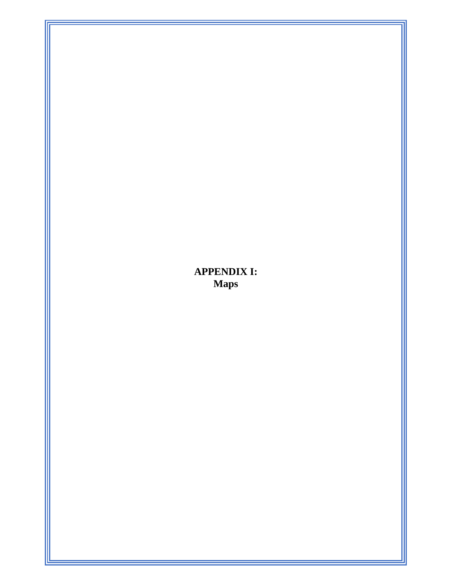# **APPENDIX I: Maps**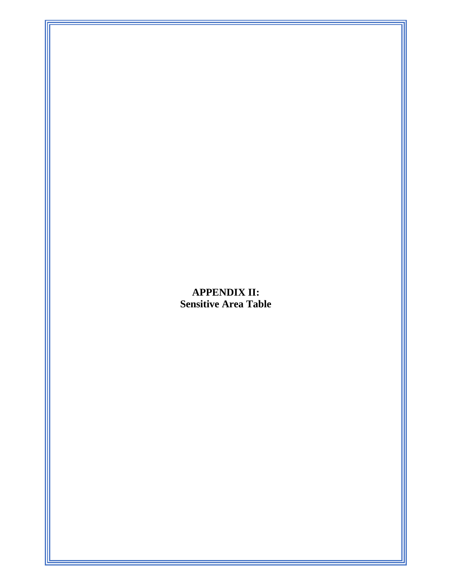# **APPENDIX II: Sensitive Area Table**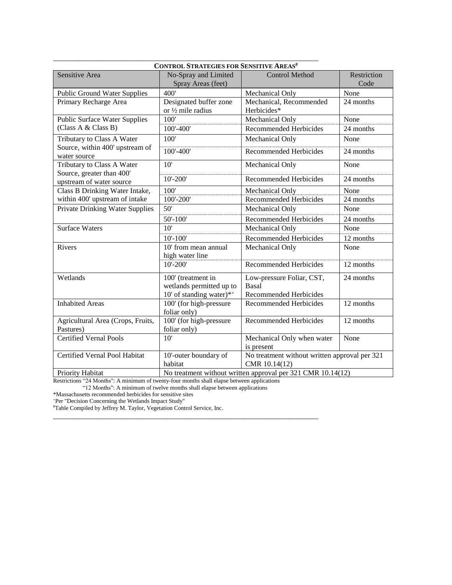| <b>CONTROL STRATEGIES FOR SENSITIVE AREAS#</b>        |                                                        |                                                                |                     |  |
|-------------------------------------------------------|--------------------------------------------------------|----------------------------------------------------------------|---------------------|--|
| Sensitive Area                                        | No-Spray and Limited<br>Spray Areas (feet)             | <b>Control Method</b>                                          | Restriction<br>Code |  |
| <b>Public Ground Water Supplies</b>                   | 400'                                                   | Mechanical Only                                                | None                |  |
| Primary Recharge Area                                 | Designated buffer zone<br>or $\frac{1}{2}$ mile radius | Mechanical, Recommended<br>Herbicides*                         | 24 months           |  |
| <b>Public Surface Water Supplies</b>                  | 100'                                                   | Mechanical Only                                                | None                |  |
| (Class A & Class B)                                   | 100'-400'                                              | <b>Recommended Herbicides</b>                                  | 24 months           |  |
| Tributary to Class A Water                            | $\overline{100'}$                                      | Mechanical Only                                                | None                |  |
| Source, within 400' upstream of<br>water source       | 100'-400'                                              | <b>Recommended Herbicides</b>                                  | 24 months           |  |
| Tributary to Class A Water                            | 10'                                                    | Mechanical Only                                                | None                |  |
| Source, greater than 400'<br>upstream of water source | $10' - 200'$                                           | <b>Recommended Herbicides</b>                                  | 24 months           |  |
| Class B Drinking Water Intake,                        | 100'                                                   | Mechanical Only                                                | None                |  |
| within 400' upstream of intake                        | 100'-200'                                              | <b>Recommended Herbicides</b>                                  | 24 months           |  |
| <b>Private Drinking Water Supplies</b>                | 50'                                                    | Mechanical Only                                                | None                |  |
|                                                       | $50' - 100'$                                           | <b>Recommended Herbicides</b>                                  | 24 months           |  |
| <b>Surface Waters</b>                                 | 10'                                                    | Mechanical Only                                                | None                |  |
|                                                       | $10' - 100'$                                           | <b>Recommended Herbicides</b>                                  | 12 months           |  |
| Rivers                                                | 10' from mean annual<br>high water line                | Mechanical Only                                                | None                |  |
|                                                       | $10'-200'$                                             | <b>Recommended Herbicides</b>                                  | 12 months           |  |
| Wetlands                                              | 100' (treatment in                                     | Low-pressure Foliar, CST,                                      | 24 months           |  |
|                                                       | wetlands permitted up to                               | Basal                                                          |                     |  |
|                                                       | 10' of standing water)*+                               | <b>Recommended Herbicides</b>                                  |                     |  |
| <b>Inhabited Areas</b>                                | 100' (for high-pressure<br>foliar only)                | <b>Recommended Herbicides</b>                                  | 12 months           |  |
| Agricultural Area (Crops, Fruits,                     | 100' (for high-pressure                                | <b>Recommended Herbicides</b>                                  | 12 months           |  |
| Pastures)                                             | foliar only)                                           |                                                                |                     |  |
| <b>Certified Vernal Pools</b>                         | 10'                                                    | Mechanical Only when water                                     | None                |  |
| Certified Vernal Pool Habitat                         |                                                        | is present                                                     |                     |  |
|                                                       | 10'-outer boundary of<br>habitat                       | No treatment without written approval per 321<br>CMR 10.14(12) |                     |  |
| $\mathbf{v}$ $\mathbf{v}$ $\mathbf{v}$ $\mathbf{v}$   | $\overline{a}$<br>$\ddotsc$                            | $\overline{a}$                                                 |                     |  |

Priority Habitat No treatment without written approval per 321 CMR 10.14(12)

Restrictions "24 Months": A minimum of twenty-four months shall elapse between applications

"12 Months": A minimum of twelve months shall elapse between applications

\*Massachusetts recommended herbicides for sensitive sites

<sup>+</sup>Per "Decision Concerning the Wetlands Impact Study"

#Table Compiled by Jeffrey M. Taylor, Vegetation Control Service, Inc. \_\_\_\_\_\_\_\_\_\_\_\_\_\_\_\_\_\_\_\_\_\_\_\_\_\_\_\_\_\_\_\_\_\_\_\_\_\_\_\_\_\_\_\_\_\_\_\_\_\_\_\_\_\_\_\_\_\_\_\_\_\_\_\_\_\_\_\_\_\_\_\_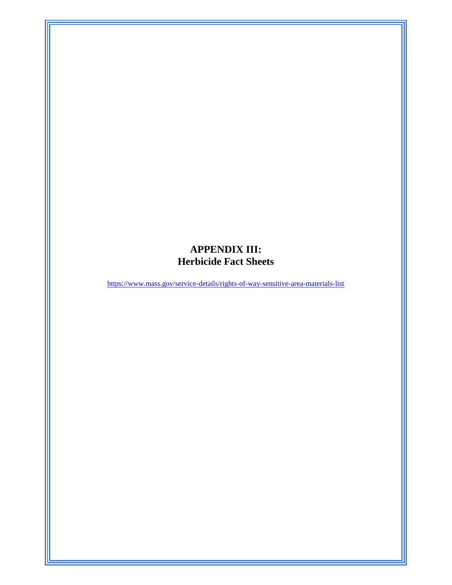# **APPENDIX III: Herbicide Fact Sheets**

<https://www.mass.gov/service-details/rights-of-way-sensitive-area-materials-list>